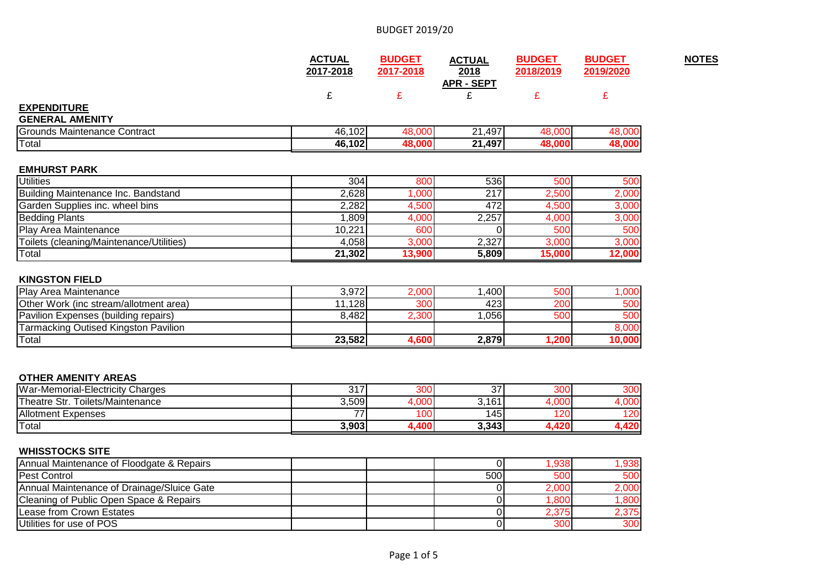|                                                   | <b>ACTUAL</b><br>2017-2018 | <b>BUDGET</b><br>2017-2018 | <b>ACTUAL</b><br>2018<br><b>APR - SEPT</b> | <b>BUDGET</b><br>2018/2019 | <b>BUDGET</b><br>2019/2020 |
|---------------------------------------------------|----------------------------|----------------------------|--------------------------------------------|----------------------------|----------------------------|
|                                                   | £                          |                            |                                            | £                          |                            |
| <b>EXPENDITURE</b>                                |                            |                            |                                            |                            |                            |
| <b>GENERAL AMENITY</b>                            |                            |                            |                                            |                            |                            |
| Grounds Maintenance Contract                      | 46,102                     | 48,000                     | 21,497                                     | 48,000                     | 48,000                     |
| Total                                             | 46,102                     | 48,000                     | 21,497                                     | 48,000                     | 48,000                     |
|                                                   |                            |                            |                                            |                            |                            |
| <b>EMHURST PARK</b><br><b>Utilities</b>           | 304                        | 800                        | 536                                        | 500                        | 500                        |
| Building Maintenance Inc. Bandstand               | 2,628                      | 1,000                      | 217                                        | 2,500                      |                            |
| Garden Supplies inc. wheel bins                   | 2,282                      | 4,500                      | 472                                        | 4,500                      | 2,000<br>3,000             |
| <b>Bedding Plants</b>                             | 1,809                      | 4,000                      | 2,257                                      | 4,000                      | 3,000                      |
| Play Area Maintenance                             | 10,221                     | 600                        |                                            | 500                        | 500                        |
| Toilets (cleaning/Maintenance/Utilities)<br>Total | 4,058                      | 3,000                      | 2,327                                      | 3,000                      | 3,000                      |

### **KINGSTON FIELD**

| <b>Play Area Maintenance</b>                  | 3,972  | $\angle,000$ | .400 <sup>1</sup> | 500  | ,000  |
|-----------------------------------------------|--------|--------------|-------------------|------|-------|
| <b>Other Work (inc stream/allotment area)</b> | .128   | 300          | 423               | 200  | 500   |
| <b>Pavilion Expenses (building repairs)</b>   | 3.482  | 2,300        | .056'             | 500  | 500   |
| <b>Tarmacking Outised Kingston Pavilion</b>   |        |              |                   |      | 3.000 |
| <b>Total</b>                                  | 23,582 | 1,600        | 2,879             | .200 |       |

### **OTHER AMENITY AREAS**

| War-Memorial-Electricity Charges    | $\sim$ $\sim$<br>ັັ | 300<br>ovu       | ~-<br>ັ | ∩∩י<br>יש     | 300l         |
|-------------------------------------|---------------------|------------------|---------|---------------|--------------|
| Toilets/Maintenance<br>Theatre Str. | 3,509               | $\Omega$<br>.vvv | 3,161   | nnn           | uuu          |
| <b>Allotment Expenses</b>           | --                  | 100              | l 45 l  | $\sim$ $\sim$ | 120          |
| <b>Total</b>                        | 3,903               | 400,ا            | 3,343   | .             | ההו<br>7,7ZV |

### **WHISSTOCKS SITE**

| Annual Maintenance of Floodgate & Repairs  |  |     | .938 <sup>1</sup> | .938  |
|--------------------------------------------|--|-----|-------------------|-------|
| <b>Pest Control</b>                        |  | 500 | 500               | 500   |
| Annual Maintenance of Drainage/Sluice Gate |  |     | 2,000             | 2,000 |
| Cleaning of Public Open Space & Repairs    |  |     | .800              | 1.800 |
| Lease from Crown Estates                   |  |     | 2.375             | 2.375 |
| Utilities for use of POS                   |  |     | 300               | 300   |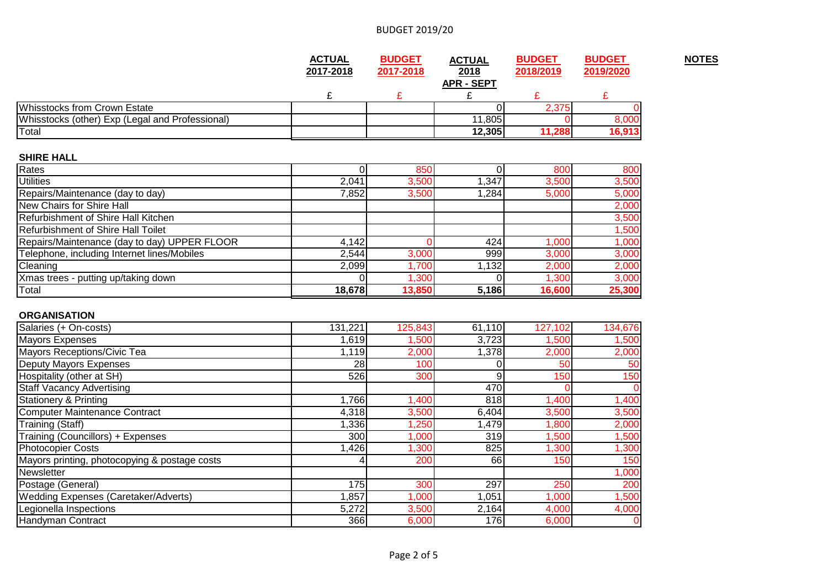|                                                 | <b>ACTUAL</b> | <b>BUDGET</b> | <b>ACTUAL</b>             | <b>BUDGET</b> | <b>BUDGET</b> | <b>NOTES</b> |
|-------------------------------------------------|---------------|---------------|---------------------------|---------------|---------------|--------------|
|                                                 | 2017-2018     | 2017-2018     | 2018<br><b>APR - SEPT</b> | 2018/2019     | 2019/2020     |              |
|                                                 |               |               |                           |               |               |              |
| Whisstocks from Crown Estate                    |               |               |                           | 2.375         |               |              |
| Whisstocks (other) Exp (Legal and Professional) |               |               | 11,805                    |               | 8,000         |              |
| Total                                           |               |               | 12,305                    | 11,288        | 16,913        |              |

### **SHIRE HALL**

| Rates                                        |        | 850    |       | 800    | 800    |
|----------------------------------------------|--------|--------|-------|--------|--------|
| <b>Utilities</b>                             | 2,041  | 3,500  | 1,347 | 3,500  | 3,500  |
| Repairs/Maintenance (day to day)             | 7,852  | 3,500  | 1,284 | 5,000  | 5,000  |
| New Chairs for Shire Hall                    |        |        |       |        | 2,000  |
| Refurbishment of Shire Hall Kitchen          |        |        |       |        | 3,500  |
| Refurbishment of Shire Hall Toilet           |        |        |       |        | 1,500  |
| Repairs/Maintenance (day to day) UPPER FLOOR | 4,142  |        | 424   | 1,000  | 1,000  |
| Telephone, including Internet lines/Mobiles  | 2,544  | 3,000  | 999   | 3,000  | 3,000  |
| Cleaning                                     | 2,099  | 1,700  | ,132  | 2,000  | 2,000  |
| Xmas trees - putting up/taking down          |        | ,300   |       | 1,300  | 3,000  |
| Total                                        | 18,678 | 13,850 | 5,186 | 16,600 | 25,300 |

### **ORGANISATION**

| Salaries (+ On-costs)                         | 131,221 | 125,843 | 61,110 | 127,102 | 134,676        |
|-----------------------------------------------|---------|---------|--------|---------|----------------|
| Mayors Expenses                               | 1,619   | 1,500   | 3,723  | 1,500   | 1,500          |
| Mayors Receptions/Civic Tea                   | 1,119   | 2,000   | 1,378  | 2,000   | 2,000          |
| Deputy Mayors Expenses                        | 28      | 100     |        | 50      | 50             |
| Hospitality (other at SH)                     | 526     | 300     | 9      | 150     | 150            |
| <b>Staff Vacancy Advertising</b>              |         |         | 470    |         | $\overline{0}$ |
| <b>Stationery &amp; Printing</b>              | 1,766   | ,400    | 818    | 1,400   | 1,400          |
| Computer Maintenance Contract                 | 4,318   | 3,500   | 6,404  | 3,500   | 3,500          |
| Training (Staff)                              | 1,336   | 1,250   | 1,479  | 1,800   | 2,000          |
| Training (Councillors) + Expenses             | 300     | 1,000   | 319    | 1,500   | 1,500          |
| <b>Photocopier Costs</b>                      | 1,426   | ,300    | 825    | 1,300   | 1,300          |
| Mayors printing, photocopying & postage costs |         | 200     | 66     | 150     | 150            |
| Newsletter                                    |         |         |        |         | 1,000          |
| Postage (General)                             | 175     | 300     | 297    | 250     | 200            |
| <b>Wedding Expenses (Caretaker/Adverts)</b>   | 1,857   | 000,    | 1,051  | 1,000   | 1,500          |
| Legionella Inspections                        | 5,272   | 3,500   | 2,164  | 4,000   | 4,000          |
| Handyman Contract                             | 366     | 6,000   | 176    | 6,000   | $\overline{0}$ |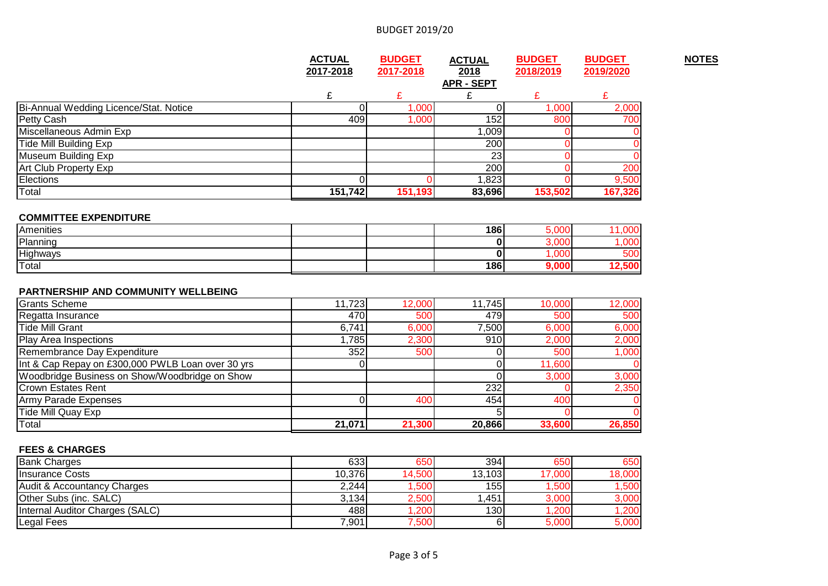|                                                   | <b>ACTUAL</b> | <b>BUDGET</b> | <b>ACTUAL</b>     | <b>BUDGET</b> | <b>BUDGET</b> | <b>NOTES</b> |
|---------------------------------------------------|---------------|---------------|-------------------|---------------|---------------|--------------|
|                                                   | 2017-2018     | 2017-2018     | 2018              | 2018/2019     | 2019/2020     |              |
|                                                   |               |               | <b>APR - SEPT</b> |               |               |              |
|                                                   | £             | £             | £                 | £             | £             |              |
| Bi-Annual Wedding Licence/Stat. Notice            | 0             | 1,000         | $\Omega$          | 1,000         | 2,000         |              |
| Petty Cash                                        | 409           | 1,000         | 152               | 800           | 700           |              |
| Miscellaneous Admin Exp                           |               |               | 1,009             |               |               |              |
| <b>Tide Mill Building Exp</b>                     |               |               | 200               |               |               |              |
| Museum Building Exp                               |               |               | $\overline{23}$   |               |               |              |
| Art Club Property Exp                             |               |               | 200               |               | 200           |              |
| Elections                                         | $\Omega$      |               | 1,823             |               | 9,500         |              |
| Total                                             | 151,742       | 151,193       | 83,696            | 153,502       | 167,326       |              |
|                                                   |               |               |                   |               |               |              |
| <b>COMMITTEE EXPENDITURE</b>                      |               |               |                   |               |               |              |
| Amenities                                         |               |               | 186               | 5,000         | 11,000        |              |
| Planning                                          |               |               | 0                 | 3,000         | 1,000         |              |
| Highways                                          |               |               | $\bf{0}$          | 1,000         | 500           |              |
| Total                                             |               |               | 186               | 9,000         | 12,500        |              |
| PARTNERSHIP AND COMMUNITY WELLBEING               |               |               |                   |               |               |              |
| <b>Grants Scheme</b>                              | 11,723        | 12,000        | 11,745            | 10,000        | 12,000        |              |
| Regatta Insurance                                 | 470           | 500           | 479               | 500           | 500           |              |
| <b>Tide Mill Grant</b>                            | 6,741         | 6,000         | 7,500             | 6,000         | 6,000         |              |
| Play Area Inspections                             | ,785          | 2,300         | 910               | 2,000         | 2,000         |              |
| Remembrance Day Expenditure                       | 352           | 500           | 0                 | 500           | 1,000         |              |
| Int & Cap Repay on £300,000 PWLB Loan over 30 yrs |               |               | 0                 | 11,600        |               |              |
| Woodbridge Business on Show/Woodbridge on Show    |               |               | $\Omega$          | 3,000         | 3,000         |              |
| <b>Crown Estates Rent</b>                         |               |               | 232               |               | 2,350         |              |
| Army Parade Expenses                              | ſ             | 400           | 454               | 400           |               |              |
| Tide Mill Quay Exp                                |               |               |                   |               |               |              |
| Total                                             | 21,071        | 21,300        | 20,866            | 33,600        | 26,850        |              |

#### **FEES & CHARGES**

| .                               |        |        |        |        |        |
|---------------------------------|--------|--------|--------|--------|--------|
| <b>Bank Charges</b>             | 633    | 650    | 394    | 650    | 650I   |
| <b>Ilnsurance Costs</b>         | 10,376 | 14,500 | 13,103 | 17.000 | 18,000 |
| Audit & Accountancy Charges     | 2,244  | ,500   | 155 I  | ,500   | ,500   |
| Other Subs (inc. SALC)          | 3,134  | 2,500  | 1,451  | 3,000  | 3,000  |
| Internal Auditor Charges (SALC) | 488    | ,200   | 130l   | ,200   | ,200   |
| Legal Fees                      | 7,901  | 7,500  |        | 5.000  | 5,000  |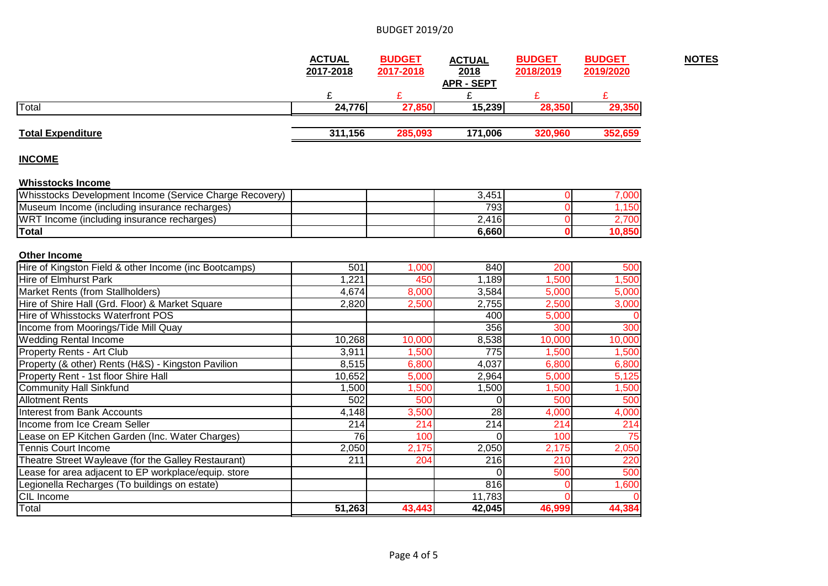| <b>APR - SEPT</b><br>£<br>£<br>£<br>£<br>£<br>24,776<br>27,850<br>15,239<br>28,350<br>285,093<br>171,006<br>311,156<br>320,960<br><b>INCOME</b><br>3,451<br>$\Omega$<br>793<br>$\Omega$<br>2,416<br>$\Omega$<br>$\Omega$<br>6,660<br>Hire of Kingston Field & other Income (inc Bootcamps)<br>840<br>200<br>501<br>1,000<br><b>Hire of Elmhurst Park</b><br>1,221<br>1,500<br>1,500<br>450<br>1,189<br>Market Rents (from Stallholders)<br>4,674<br>8,000<br>3,584<br>5,000<br>Hire of Shire Hall (Grd. Floor) & Market Square<br>2,500<br>2,820<br>2,755<br>2,500<br>Hire of Whisstocks Waterfront POS<br>5,000<br>400<br>356<br>300<br>10,268<br>10,000<br>8,538<br>10,000<br>3,911<br>1,500<br>775<br>1,500<br>8,515<br>6,800<br>4,037<br>6,800<br>10,652<br>2,964<br>5,000<br>5,000<br>1,500<br>1,500<br>1,500<br>1,500<br>502<br>500<br>500<br>0<br>28<br>4,148<br>3,500<br>4,000<br>214<br>214<br>214<br>214<br>76<br>100<br>100<br>$\Omega$<br>2,050<br>2,175<br>2,050<br>2,175<br>$\overline{211}$<br>204<br>216<br>210<br>Lease for area adjacent to EP workplace/equip. store<br>500<br>U<br>816<br>Legionella Recharges (To buildings on estate)<br>11,783<br>51,263<br>43,443<br>42,045<br>46,999 |                                                         | <b>ACTUAL</b><br>2017-2018 | <b>BUDGET</b><br>2017-2018 | <b>ACTUAL</b><br>2018 | <b>BUDGET</b><br>2018/2019 | <b>BUDGET</b><br>2019/2020 |
|---------------------------------------------------------------------------------------------------------------------------------------------------------------------------------------------------------------------------------------------------------------------------------------------------------------------------------------------------------------------------------------------------------------------------------------------------------------------------------------------------------------------------------------------------------------------------------------------------------------------------------------------------------------------------------------------------------------------------------------------------------------------------------------------------------------------------------------------------------------------------------------------------------------------------------------------------------------------------------------------------------------------------------------------------------------------------------------------------------------------------------------------------------------------------------------------------------------|---------------------------------------------------------|----------------------------|----------------------------|-----------------------|----------------------------|----------------------------|
|                                                                                                                                                                                                                                                                                                                                                                                                                                                                                                                                                                                                                                                                                                                                                                                                                                                                                                                                                                                                                                                                                                                                                                                                               |                                                         |                            |                            |                       |                            |                            |
|                                                                                                                                                                                                                                                                                                                                                                                                                                                                                                                                                                                                                                                                                                                                                                                                                                                                                                                                                                                                                                                                                                                                                                                                               |                                                         |                            |                            |                       |                            |                            |
|                                                                                                                                                                                                                                                                                                                                                                                                                                                                                                                                                                                                                                                                                                                                                                                                                                                                                                                                                                                                                                                                                                                                                                                                               | Total                                                   |                            |                            |                       |                            | 29,350                     |
|                                                                                                                                                                                                                                                                                                                                                                                                                                                                                                                                                                                                                                                                                                                                                                                                                                                                                                                                                                                                                                                                                                                                                                                                               |                                                         |                            |                            |                       |                            |                            |
|                                                                                                                                                                                                                                                                                                                                                                                                                                                                                                                                                                                                                                                                                                                                                                                                                                                                                                                                                                                                                                                                                                                                                                                                               | <b>Total Expenditure</b>                                |                            |                            |                       |                            | 352,659                    |
|                                                                                                                                                                                                                                                                                                                                                                                                                                                                                                                                                                                                                                                                                                                                                                                                                                                                                                                                                                                                                                                                                                                                                                                                               |                                                         |                            |                            |                       |                            |                            |
|                                                                                                                                                                                                                                                                                                                                                                                                                                                                                                                                                                                                                                                                                                                                                                                                                                                                                                                                                                                                                                                                                                                                                                                                               |                                                         |                            |                            |                       |                            |                            |
|                                                                                                                                                                                                                                                                                                                                                                                                                                                                                                                                                                                                                                                                                                                                                                                                                                                                                                                                                                                                                                                                                                                                                                                                               | <b>Whisstocks Income</b>                                |                            |                            |                       |                            |                            |
|                                                                                                                                                                                                                                                                                                                                                                                                                                                                                                                                                                                                                                                                                                                                                                                                                                                                                                                                                                                                                                                                                                                                                                                                               | Whisstocks Development Income (Service Charge Recovery) |                            |                            |                       |                            | 7,000                      |
|                                                                                                                                                                                                                                                                                                                                                                                                                                                                                                                                                                                                                                                                                                                                                                                                                                                                                                                                                                                                                                                                                                                                                                                                               | Museum Income (including insurance recharges)           |                            |                            |                       |                            | 1,150                      |
|                                                                                                                                                                                                                                                                                                                                                                                                                                                                                                                                                                                                                                                                                                                                                                                                                                                                                                                                                                                                                                                                                                                                                                                                               | WRT Income (including insurance recharges)              |                            |                            |                       |                            | 2,700                      |
|                                                                                                                                                                                                                                                                                                                                                                                                                                                                                                                                                                                                                                                                                                                                                                                                                                                                                                                                                                                                                                                                                                                                                                                                               | <b>Total</b>                                            |                            |                            |                       |                            | 10,850                     |
|                                                                                                                                                                                                                                                                                                                                                                                                                                                                                                                                                                                                                                                                                                                                                                                                                                                                                                                                                                                                                                                                                                                                                                                                               |                                                         |                            |                            |                       |                            |                            |
|                                                                                                                                                                                                                                                                                                                                                                                                                                                                                                                                                                                                                                                                                                                                                                                                                                                                                                                                                                                                                                                                                                                                                                                                               | <b>Other Income</b>                                     |                            |                            |                       |                            |                            |
|                                                                                                                                                                                                                                                                                                                                                                                                                                                                                                                                                                                                                                                                                                                                                                                                                                                                                                                                                                                                                                                                                                                                                                                                               |                                                         |                            |                            |                       |                            | 500                        |
|                                                                                                                                                                                                                                                                                                                                                                                                                                                                                                                                                                                                                                                                                                                                                                                                                                                                                                                                                                                                                                                                                                                                                                                                               |                                                         |                            |                            |                       |                            |                            |
|                                                                                                                                                                                                                                                                                                                                                                                                                                                                                                                                                                                                                                                                                                                                                                                                                                                                                                                                                                                                                                                                                                                                                                                                               |                                                         |                            |                            |                       |                            | 5,000                      |
|                                                                                                                                                                                                                                                                                                                                                                                                                                                                                                                                                                                                                                                                                                                                                                                                                                                                                                                                                                                                                                                                                                                                                                                                               |                                                         |                            |                            |                       |                            | 3,000                      |
|                                                                                                                                                                                                                                                                                                                                                                                                                                                                                                                                                                                                                                                                                                                                                                                                                                                                                                                                                                                                                                                                                                                                                                                                               |                                                         |                            |                            |                       |                            |                            |
|                                                                                                                                                                                                                                                                                                                                                                                                                                                                                                                                                                                                                                                                                                                                                                                                                                                                                                                                                                                                                                                                                                                                                                                                               | Income from Moorings/Tide Mill Quay                     |                            |                            |                       |                            | 300                        |
|                                                                                                                                                                                                                                                                                                                                                                                                                                                                                                                                                                                                                                                                                                                                                                                                                                                                                                                                                                                                                                                                                                                                                                                                               | <b>Wedding Rental Income</b>                            |                            |                            |                       |                            | 10,000                     |
|                                                                                                                                                                                                                                                                                                                                                                                                                                                                                                                                                                                                                                                                                                                                                                                                                                                                                                                                                                                                                                                                                                                                                                                                               | Property Rents - Art Club                               |                            |                            |                       |                            | 1,500                      |
|                                                                                                                                                                                                                                                                                                                                                                                                                                                                                                                                                                                                                                                                                                                                                                                                                                                                                                                                                                                                                                                                                                                                                                                                               | Property (& other) Rents (H&S) - Kingston Pavilion      |                            |                            |                       |                            | 6,800                      |
|                                                                                                                                                                                                                                                                                                                                                                                                                                                                                                                                                                                                                                                                                                                                                                                                                                                                                                                                                                                                                                                                                                                                                                                                               | Property Rent - 1st floor Shire Hall                    |                            |                            |                       |                            | 5,125                      |
|                                                                                                                                                                                                                                                                                                                                                                                                                                                                                                                                                                                                                                                                                                                                                                                                                                                                                                                                                                                                                                                                                                                                                                                                               | <b>Community Hall Sinkfund</b>                          |                            |                            |                       |                            | 1,500                      |
|                                                                                                                                                                                                                                                                                                                                                                                                                                                                                                                                                                                                                                                                                                                                                                                                                                                                                                                                                                                                                                                                                                                                                                                                               | <b>Allotment Rents</b>                                  |                            |                            |                       |                            | 500                        |
|                                                                                                                                                                                                                                                                                                                                                                                                                                                                                                                                                                                                                                                                                                                                                                                                                                                                                                                                                                                                                                                                                                                                                                                                               | <b>Interest from Bank Accounts</b>                      |                            |                            |                       |                            | 4,000                      |
|                                                                                                                                                                                                                                                                                                                                                                                                                                                                                                                                                                                                                                                                                                                                                                                                                                                                                                                                                                                                                                                                                                                                                                                                               | Income from Ice Cream Seller                            |                            |                            |                       |                            | 214                        |
|                                                                                                                                                                                                                                                                                                                                                                                                                                                                                                                                                                                                                                                                                                                                                                                                                                                                                                                                                                                                                                                                                                                                                                                                               | Lease on EP Kitchen Garden (Inc. Water Charges)         |                            |                            |                       |                            | 75                         |
|                                                                                                                                                                                                                                                                                                                                                                                                                                                                                                                                                                                                                                                                                                                                                                                                                                                                                                                                                                                                                                                                                                                                                                                                               | <b>Tennis Court Income</b>                              |                            |                            |                       |                            | 2,050                      |
|                                                                                                                                                                                                                                                                                                                                                                                                                                                                                                                                                                                                                                                                                                                                                                                                                                                                                                                                                                                                                                                                                                                                                                                                               | Theatre Street Wayleave (for the Galley Restaurant)     |                            |                            |                       |                            | 220                        |
|                                                                                                                                                                                                                                                                                                                                                                                                                                                                                                                                                                                                                                                                                                                                                                                                                                                                                                                                                                                                                                                                                                                                                                                                               |                                                         |                            |                            |                       |                            | 500                        |
|                                                                                                                                                                                                                                                                                                                                                                                                                                                                                                                                                                                                                                                                                                                                                                                                                                                                                                                                                                                                                                                                                                                                                                                                               |                                                         |                            |                            |                       |                            | 1,600                      |
|                                                                                                                                                                                                                                                                                                                                                                                                                                                                                                                                                                                                                                                                                                                                                                                                                                                                                                                                                                                                                                                                                                                                                                                                               | CIL Income                                              |                            |                            |                       |                            |                            |
|                                                                                                                                                                                                                                                                                                                                                                                                                                                                                                                                                                                                                                                                                                                                                                                                                                                                                                                                                                                                                                                                                                                                                                                                               | Total                                                   |                            |                            |                       |                            | 44,384                     |